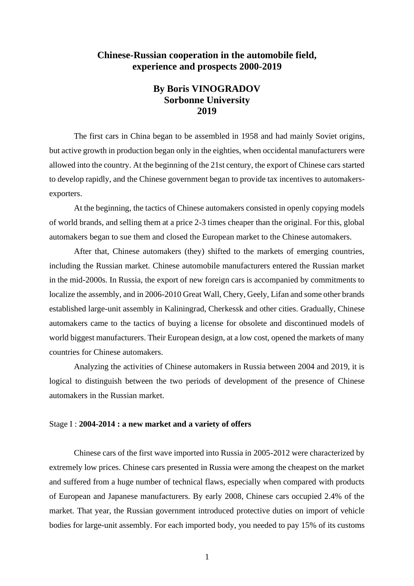## **Chinese-Russian cooperation in the automobile field, experience and prospects 2000-2019**

## **By Boris VINOGRADOV Sorbonne University 2019**

The first cars in China began to be assembled in 1958 and had mainly Soviet origins, but active growth in production began only in the eighties, when occidental manufacturers were allowed into the country. At the beginning of the 21st century, the export of Chinese cars started to develop rapidly, and the Chinese government began to provide tax incentives to automakersexporters.

At the beginning, the tactics of Chinese automakers consisted in openly copying models of world brands, and selling them at a price 2-3 times cheaper than the original. For this, global automakers began to sue them and closed the European market to the Chinese automakers.

After that, Chinese automakers (they) shifted to the markets of emerging countries, including the Russian market. Chinese automobile manufacturers entered the Russian market in the mid-2000s. In Russia, the export of new foreign cars is accompanied by commitments to localize the assembly, and in 2006-2010 Great Wall, Chery, Geely, Lifan and some other brands established large-unit assembly in Kaliningrad, Cherkessk and other cities. Gradually, Chinese automakers came to the tactics of buying a license for obsolete and discontinued models of world biggest manufacturers. Their European design, at a low cost, opened the markets of many countries for Chinese automakers.

Analyzing the activities of Chinese automakers in Russia between 2004 and 2019, it is logical to distinguish between the two periods of development of the presence of Chinese automakers in the Russian market.

#### Stage I : **2004-2014 : a new market and a variety of offers**

Chinese cars of the first wave imported into Russia in 2005-2012 were characterized by extremely low prices. Chinese cars presented in Russia were among the cheapest on the market and suffered from a huge number of technical flaws, especially when compared with products of European and Japanese manufacturers. By early 2008, Chinese cars occupied 2.4% of the market. That year, the Russian government introduced protective duties on import of vehicle bodies for large-unit assembly. For each imported body, you needed to pay 15% of its customs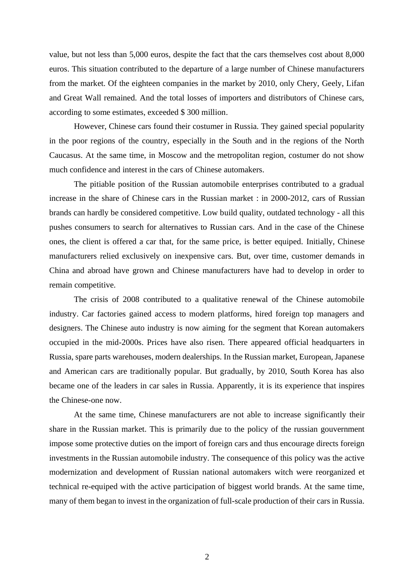value, but not less than 5,000 euros, despite the fact that the cars themselves cost about 8,000 euros. This situation contributed to the departure of a large number of Chinese manufacturers from the market. Of the eighteen companies in the market by 2010, only Chery, Geely, Lifan and Great Wall remained. And the total losses of importers and distributors of Chinese cars, according to some estimates, exceeded \$ 300 million.

However, Chinese cars found their costumer in Russia. They gained special popularity in the poor regions of the country, especially in the South and in the regions of the North Caucasus. At the same time, in Moscow and the metropolitan region, costumer do not show much confidence and interest in the cars of Chinese automakers.

The pitiable position of the Russian automobile enterprises contributed to a gradual increase in the share of Chinese cars in the Russian market : in 2000-2012, cars of Russian brands can hardly be considered competitive. Low build quality, outdated technology - all this pushes consumers to search for alternatives to Russian cars. And in the case of the Chinese ones, the client is offered a car that, for the same price, is better equiped. Initially, Chinese manufacturers relied exclusively on inexpensive cars. But, over time, customer demands in China and abroad have grown and Chinese manufacturers have had to develop in order to remain competitive.

The crisis of 2008 contributed to a qualitative renewal of the Chinese automobile industry. Car factories gained access to modern platforms, hired foreign top managers and designers. The Chinese auto industry is now aiming for the segment that Korean automakers occupied in the mid-2000s. Prices have also risen. There appeared official headquarters in Russia, spare parts warehouses, modern dealerships. In the Russian market, European, Japanese and American cars are traditionally popular. But gradually, by 2010, South Korea has also became one of the leaders in car sales in Russia. Apparently, it is its experience that inspires the Chinese-one now.

At the same time, Chinese manufacturers are not able to increase significantly their share in the Russian market. This is primarily due to the policy of the russian gouvernment impose some protective duties on the import of foreign cars and thus encourage directs foreign investments in the Russian automobile industry. The consequence of this policy was the active modernization and development of Russian national automakers witch were reorganized et technical re-equiped with the active participation of biggest world brands. At the same time, many of them began to invest in the organization of full-scale production of their cars in Russia.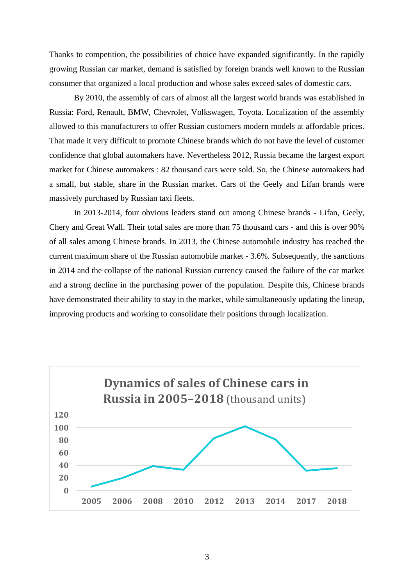Thanks to competition, the possibilities of choice have expanded significantly. In the rapidly growing Russian car market, demand is satisfied by foreign brands well known to the Russian consumer that organized a local production and whose sales exceed sales of domestic cars.

By 2010, the assembly of cars of almost all the largest world brands was established in Russia: Ford, Renault, BMW, Chevrolet, Volkswagen, Toyota. Localization of the assembly allowed to this manufacturers to offer Russian customers modern models at affordable prices. That made it very difficult to promote Chinese brands which do not have the level of customer confidence that global automakers have. Nevertheless 2012, Russia became the largest export market for Chinese automakers : 82 thousand cars were sold. So, the Chinese automakers had a small, but stable, share in the Russian market. Cars of the Geely and Lifan brands were massively purchased by Russian taxi fleets.

In 2013-2014, four obvious leaders stand out among Chinese brands - Lifan, Geely, Chery and Great Wall. Their total sales are more than 75 thousand cars - and this is over 90% of all sales among Chinese brands. In 2013, the Chinese automobile industry has reached the current maximum share of the Russian automobile market - 3.6%. Subsequently, the sanctions in 2014 and the collapse of the national Russian currency caused the failure of the car market and a strong decline in the purchasing power of the population. Despite this, Chinese brands have demonstrated their ability to stay in the market, while simultaneously updating the lineup, improving products and working to consolidate their positions through localization.

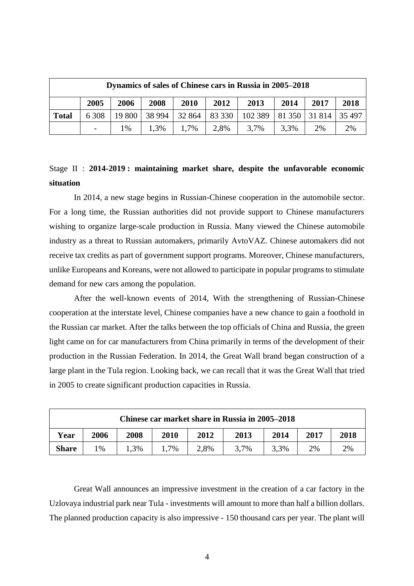| Dynamics of sales of Chinese cars in Russia in 2005–2018 |       |        |         |        |        |         |               |      |       |  |  |
|----------------------------------------------------------|-------|--------|---------|--------|--------|---------|---------------|------|-------|--|--|
|                                                          | 2005  | 2006   | 2008    | 2010   | 2012   | 2013    | 2014          | 2017 | 2018  |  |  |
| <b>Total</b>                                             | 6 308 | 19 800 | 38 9 94 | 32 864 | 83 330 | 102 389 | 81 350 31 814 |      | 35497 |  |  |
|                                                          |       | 1%     | 1.3%    | 1,7%   | 2,8%   | 3,7%    | 3,3%          | 2%   | 2%    |  |  |

# Stage II : **2014-2019 : maintaining market share, despite the unfavorable economic situation**

In 2014, a new stage begins in Russian-Chinese cooperation in the automobile sector. For a long time, the Russian authorities did not provide support to Chinese manufacturers wishing to organize large-scale production in Russia. Many viewed the Chinese automobile industry as a threat to Russian automakers, primarily AvtoVAZ. Chinese automakers did not receive tax credits as part of government support programs. Moreover, Chinese manufacturers, unlike Europeans and Koreans, were not allowed to participate in popular programs to stimulate demand for new cars among the population.

After the well-known events of 2014, With the strengthening of Russian-Chinese cooperation at the interstate level, Chinese companies have a new chance to gain a foothold in the Russian car market. After the talks between the top officials of China and Russia, the green light came on for car manufacturers from China primarily in terms of the development of their production in the Russian Federation. In 2014, the Great Wall brand began construction of a large plant in the Tula region. Looking back, we can recall that it was the Great Wall that tried in 2005 to create significant production capacities in Russia.

| Chinese car market share in Russia in 2005–2018 |      |        |      |      |      |      |      |      |  |  |  |
|-------------------------------------------------|------|--------|------|------|------|------|------|------|--|--|--|
| Year                                            | 2006 | 2008   | 2010 | 2012 | 2013 | 2014 | 2017 | 2018 |  |  |  |
| <b>Share</b>                                    | $\%$ | $.3\%$ | 7%   | 2,8% | 3,7% | 3.3% | 2%   | 2%   |  |  |  |

Great Wall announces an impressive investment in the creation of a car factory in the Uzlovaya industrial park near Tula - investments will amount to more than half a billion dollars. The planned production capacity is also impressive - 150 thousand cars per year. The plant will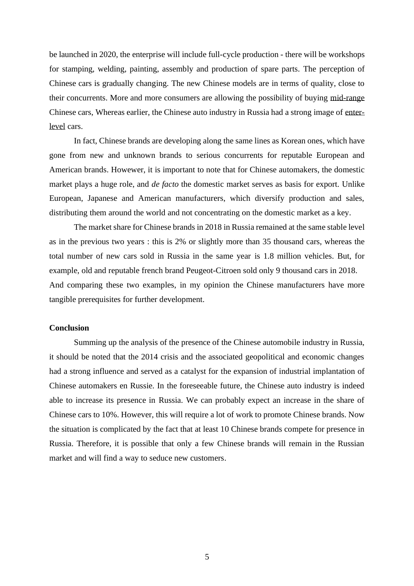be launched in 2020, the enterprise will include full-cycle production - there will be workshops for stamping, welding, painting, assembly and production of spare parts. The perception of Chinese cars is gradually changing. The new Chinese models are in terms of quality, close to their concurrents. More and more consumers are allowing the possibility of buying mid-range Chinese cars, Whereas earlier, the Chinese auto industry in Russia had a strong image of enterlevel cars.

In fact, Chinese brands are developing along the same lines as Korean ones, which have gone from new and unknown brands to serious concurrents for reputable European and American brands. Howewer, it is important to note that for Chinese automakers, the domestic market plays a huge role, and *de facto* the domestic market serves as basis for export. Unlike European, Japanese and American manufacturers, which diversify production and sales, distributing them around the world and not concentrating on the domestic market as a key.

The market share for Chinese brands in 2018 in Russia remained at the same stable level as in the previous two years : this is 2% or slightly more than 35 thousand cars, whereas the total number of new cars sold in Russia in the same year is 1.8 million vehicles. But, for example, old and reputable french brand Peugeot-Citroen sold only 9 thousand cars in 2018. And comparing these two examples, in my opinion the Chinese manufacturers have more tangible prerequisites for further development.

### **Conclusion**

Summing up the analysis of the presence of the Chinese automobile industry in Russia, it should be noted that the 2014 crisis and the associated geopolitical and economic changes had a strong influence and served as a catalyst for the expansion of industrial implantation of Chinese automakers en Russie. In the foreseeable future, the Chinese auto industry is indeed able to increase its presence in Russia. We can probably expect an increase in the share of Chinese cars to 10%. However, this will require a lot of work to promote Chinese brands. Now the situation is complicated by the fact that at least 10 Chinese brands compete for presence in Russia. Therefore, it is possible that only a few Chinese brands will remain in the Russian market and will find a way to seduce new customers.